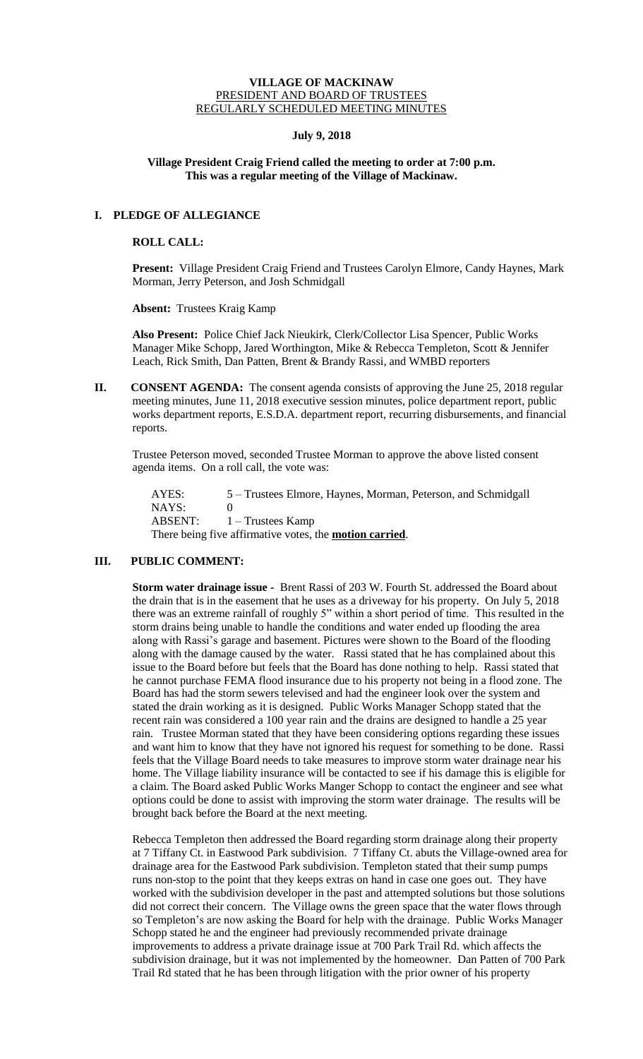#### **VILLAGE OF MACKINAW** PRESIDENT AND BOARD OF TRUSTEES REGULARLY SCHEDULED MEETING MINUTES

# **July 9, 2018**

# **Village President Craig Friend called the meeting to order at 7:00 p.m. This was a regular meeting of the Village of Mackinaw.**

# **I. PLEDGE OF ALLEGIANCE**

### **ROLL CALL:**

**Present:** Village President Craig Friend and Trustees Carolyn Elmore, Candy Haynes, Mark Morman, Jerry Peterson, and Josh Schmidgall

**Absent:** Trustees Kraig Kamp

**Also Present:** Police Chief Jack Nieukirk, Clerk/Collector Lisa Spencer, Public Works Manager Mike Schopp, Jared Worthington, Mike & Rebecca Templeton, Scott & Jennifer Leach, Rick Smith, Dan Patten, Brent & Brandy Rassi, and WMBD reporters

**II.** CONSENT AGENDA: The consent agenda consists of approving the June 25, 2018 regular meeting minutes, June 11, 2018 executive session minutes, police department report, public works department reports, E.S.D.A. department report, recurring disbursements, and financial reports.

Trustee Peterson moved, seconded Trustee Morman to approve the above listed consent agenda items. On a roll call, the vote was:

AYES: 5 – Trustees Elmore, Haynes, Morman, Peterson, and Schmidgall NAYS: 0 ABSENT:  $1 -$  Trustees Kamp There being five affirmative votes, the **motion carried**.

# **III. PUBLIC COMMENT:**

**Storm water drainage issue -** Brent Rassi of 203 W. Fourth St. addressed the Board about the drain that is in the easement that he uses as a driveway for his property. On July 5, 2018 there was an extreme rainfall of roughly 5" within a short period of time. This resulted in the storm drains being unable to handle the conditions and water ended up flooding the area along with Rassi's garage and basement. Pictures were shown to the Board of the flooding along with the damage caused by the water. Rassi stated that he has complained about this issue to the Board before but feels that the Board has done nothing to help. Rassi stated that he cannot purchase FEMA flood insurance due to his property not being in a flood zone. The Board has had the storm sewers televised and had the engineer look over the system and stated the drain working as it is designed. Public Works Manager Schopp stated that the recent rain was considered a 100 year rain and the drains are designed to handle a 25 year rain. Trustee Morman stated that they have been considering options regarding these issues and want him to know that they have not ignored his request for something to be done. Rassi feels that the Village Board needs to take measures to improve storm water drainage near his home. The Village liability insurance will be contacted to see if his damage this is eligible for a claim. The Board asked Public Works Manger Schopp to contact the engineer and see what options could be done to assist with improving the storm water drainage. The results will be brought back before the Board at the next meeting.

Rebecca Templeton then addressed the Board regarding storm drainage along their property at 7 Tiffany Ct. in Eastwood Park subdivision. 7 Tiffany Ct. abuts the Village-owned area for drainage area for the Eastwood Park subdivision. Templeton stated that their sump pumps runs non-stop to the point that they keeps extras on hand in case one goes out. They have worked with the subdivision developer in the past and attempted solutions but those solutions did not correct their concern. The Village owns the green space that the water flows through so Templeton's are now asking the Board for help with the drainage. Public Works Manager Schopp stated he and the engineer had previously recommended private drainage improvements to address a private drainage issue at 700 Park Trail Rd. which affects the subdivision drainage, but it was not implemented by the homeowner. Dan Patten of 700 Park Trail Rd stated that he has been through litigation with the prior owner of his property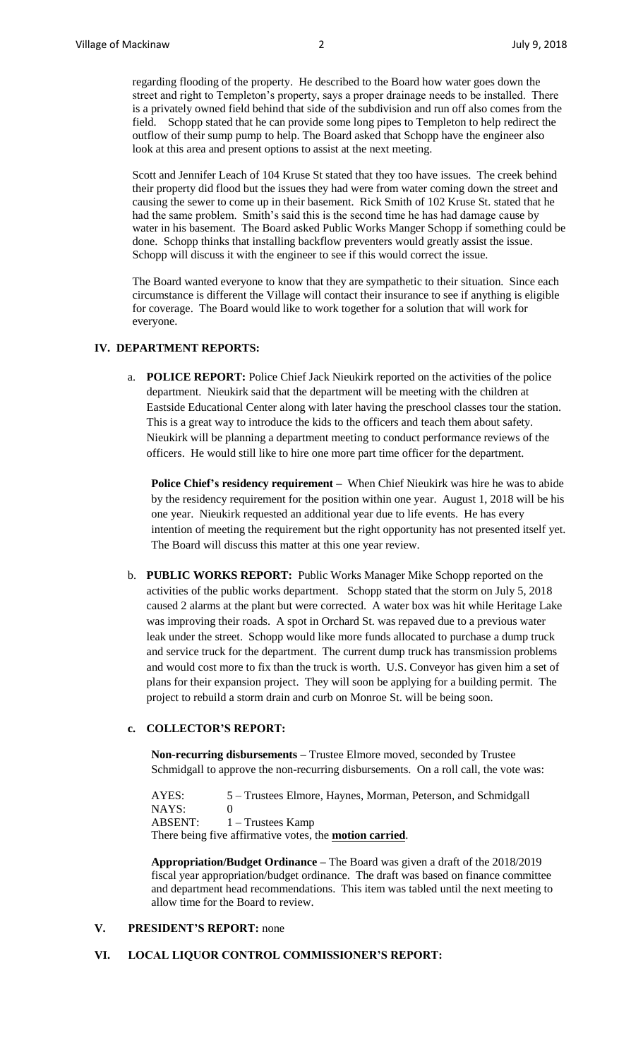regarding flooding of the property. He described to the Board how water goes down the street and right to Templeton's property, says a proper drainage needs to be installed. There is a privately owned field behind that side of the subdivision and run off also comes from the field. Schopp stated that he can provide some long pipes to Templeton to help redirect the outflow of their sump pump to help. The Board asked that Schopp have the engineer also look at this area and present options to assist at the next meeting.

Scott and Jennifer Leach of 104 Kruse St stated that they too have issues. The creek behind their property did flood but the issues they had were from water coming down the street and causing the sewer to come up in their basement. Rick Smith of 102 Kruse St. stated that he had the same problem. Smith's said this is the second time he has had damage cause by water in his basement. The Board asked Public Works Manger Schopp if something could be done. Schopp thinks that installing backflow preventers would greatly assist the issue. Schopp will discuss it with the engineer to see if this would correct the issue.

The Board wanted everyone to know that they are sympathetic to their situation. Since each circumstance is different the Village will contact their insurance to see if anything is eligible for coverage. The Board would like to work together for a solution that will work for everyone.

# **IV. DEPARTMENT REPORTS:**

a. **POLICE REPORT:** Police Chief Jack Nieukirk reported on the activities of the police department. Nieukirk said that the department will be meeting with the children at Eastside Educational Center along with later having the preschool classes tour the station. This is a great way to introduce the kids to the officers and teach them about safety. Nieukirk will be planning a department meeting to conduct performance reviews of the officers. He would still like to hire one more part time officer for the department.

**Police Chief's residency requirement –** When Chief Nieukirk was hire he was to abide by the residency requirement for the position within one year. August 1, 2018 will be his one year. Nieukirk requested an additional year due to life events. He has every intention of meeting the requirement but the right opportunity has not presented itself yet. The Board will discuss this matter at this one year review.

b. **PUBLIC WORKS REPORT:** Public Works Manager Mike Schopp reported on the activities of the public works department. Schopp stated that the storm on July 5, 2018 caused 2 alarms at the plant but were corrected. A water box was hit while Heritage Lake was improving their roads. A spot in Orchard St. was repaved due to a previous water leak under the street. Schopp would like more funds allocated to purchase a dump truck and service truck for the department. The current dump truck has transmission problems and would cost more to fix than the truck is worth. U.S. Conveyor has given him a set of plans for their expansion project. They will soon be applying for a building permit. The project to rebuild a storm drain and curb on Monroe St. will be being soon.

# **c. COLLECTOR'S REPORT:**

**Non-recurring disbursements –** Trustee Elmore moved, seconded by Trustee Schmidgall to approve the non-recurring disbursements. On a roll call, the vote was:

AYES: 5 – Trustees Elmore, Haynes, Morman, Peterson, and Schmidgall NAYS: 0 ABSENT:  $1 -$  Trustees Kamp There being five affirmative votes, the **motion carried**.

**Appropriation/Budget Ordinance –** The Board was given a draft of the 2018/2019 fiscal year appropriation/budget ordinance. The draft was based on finance committee and department head recommendations. This item was tabled until the next meeting to allow time for the Board to review.

#### **V. PRESIDENT'S REPORT:** none

#### **VI. LOCAL LIQUOR CONTROL COMMISSIONER'S REPORT:**